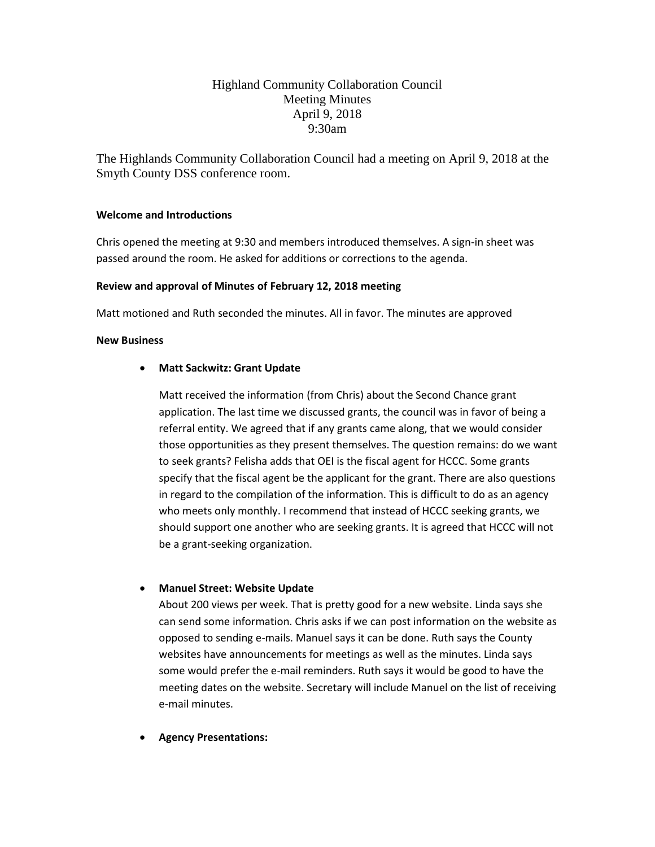# Highland Community Collaboration Council Meeting Minutes April 9, 2018 9:30am

The Highlands Community Collaboration Council had a meeting on April 9, 2018 at the Smyth County DSS conference room.

## **Welcome and Introductions**

Chris opened the meeting at 9:30 and members introduced themselves. A sign-in sheet was passed around the room. He asked for additions or corrections to the agenda.

## **Review and approval of Minutes of February 12, 2018 meeting**

Matt motioned and Ruth seconded the minutes. All in favor. The minutes are approved

## **New Business**

## • **Matt Sackwitz: Grant Update**

Matt received the information (from Chris) about the Second Chance grant application. The last time we discussed grants, the council was in favor of being a referral entity. We agreed that if any grants came along, that we would consider those opportunities as they present themselves. The question remains: do we want to seek grants? Felisha adds that OEI is the fiscal agent for HCCC. Some grants specify that the fiscal agent be the applicant for the grant. There are also questions in regard to the compilation of the information. This is difficult to do as an agency who meets only monthly. I recommend that instead of HCCC seeking grants, we should support one another who are seeking grants. It is agreed that HCCC will not be a grant-seeking organization.

## • **Manuel Street: Website Update**

About 200 views per week. That is pretty good for a new website. Linda says she can send some information. Chris asks if we can post information on the website as opposed to sending e-mails. Manuel says it can be done. Ruth says the County websites have announcements for meetings as well as the minutes. Linda says some would prefer the e-mail reminders. Ruth says it would be good to have the meeting dates on the website. Secretary will include Manuel on the list of receiving e-mail minutes.

• **Agency Presentations:**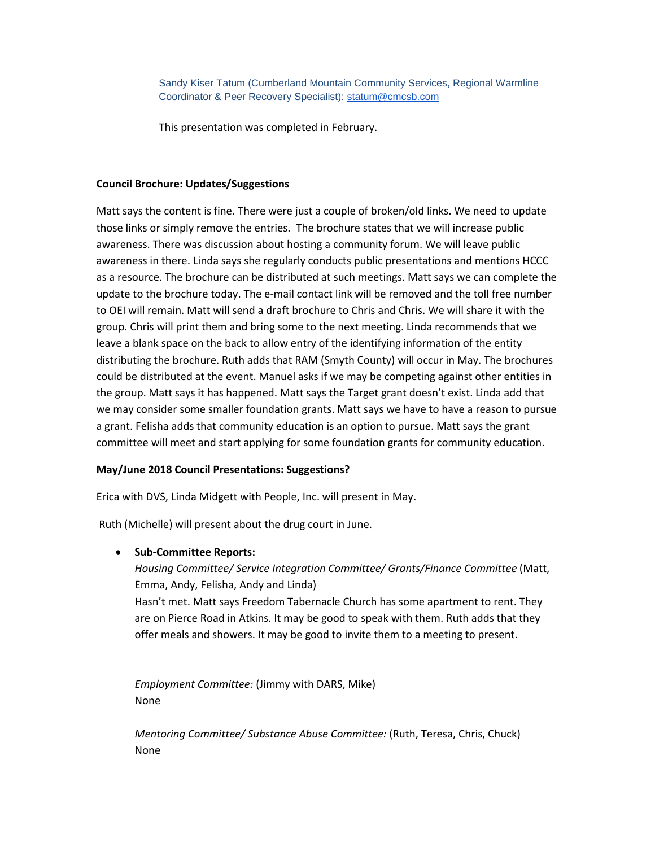Sandy Kiser Tatum (Cumberland Mountain Community Services, Regional Warmline Coordinator & Peer Recovery Specialist): [statum@cmcsb.com](mailto:statum@cmcsb.com)

This presentation was completed in February.

#### **Council Brochure: Updates/Suggestions**

Matt says the content is fine. There were just a couple of broken/old links. We need to update those links or simply remove the entries. The brochure states that we will increase public awareness. There was discussion about hosting a community forum. We will leave public awareness in there. Linda says she regularly conducts public presentations and mentions HCCC as a resource. The brochure can be distributed at such meetings. Matt says we can complete the update to the brochure today. The e-mail contact link will be removed and the toll free number to OEI will remain. Matt will send a draft brochure to Chris and Chris. We will share it with the group. Chris will print them and bring some to the next meeting. Linda recommends that we leave a blank space on the back to allow entry of the identifying information of the entity distributing the brochure. Ruth adds that RAM (Smyth County) will occur in May. The brochures could be distributed at the event. Manuel asks if we may be competing against other entities in the group. Matt says it has happened. Matt says the Target grant doesn't exist. Linda add that we may consider some smaller foundation grants. Matt says we have to have a reason to pursue a grant. Felisha adds that community education is an option to pursue. Matt says the grant committee will meet and start applying for some foundation grants for community education.

## **May/June 2018 Council Presentations: Suggestions?**

Erica with DVS, Linda Midgett with People, Inc. will present in May.

Ruth (Michelle) will present about the drug court in June.

## • **Sub-Committee Reports:**

*Housing Committee/ Service Integration Committee/ Grants/Finance Committee* (Matt, Emma, Andy, Felisha, Andy and Linda) Hasn't met. Matt says Freedom Tabernacle Church has some apartment to rent. They are on Pierce Road in Atkins. It may be good to speak with them. Ruth adds that they offer meals and showers. It may be good to invite them to a meeting to present.

*Employment Committee:* (Jimmy with DARS, Mike) None

*Mentoring Committee/ Substance Abuse Committee:* (Ruth, Teresa, Chris, Chuck) None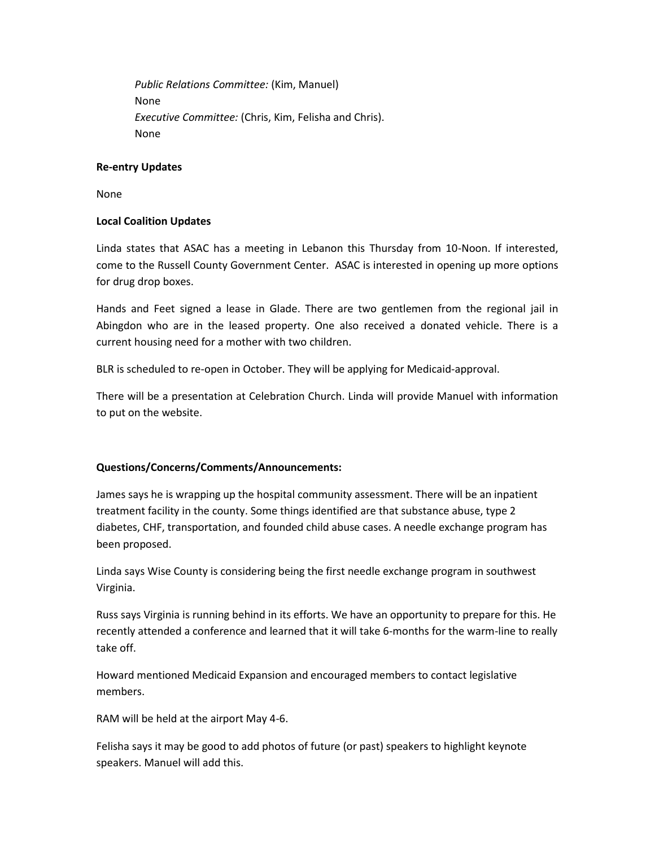*Public Relations Committee:* (Kim, Manuel) None *Executive Committee:* (Chris, Kim, Felisha and Chris). None

#### **Re-entry Updates**

None

#### **Local Coalition Updates**

Linda states that ASAC has a meeting in Lebanon this Thursday from 10-Noon. If interested, come to the Russell County Government Center. ASAC is interested in opening up more options for drug drop boxes.

Hands and Feet signed a lease in Glade. There are two gentlemen from the regional jail in Abingdon who are in the leased property. One also received a donated vehicle. There is a current housing need for a mother with two children.

BLR is scheduled to re-open in October. They will be applying for Medicaid-approval.

There will be a presentation at Celebration Church. Linda will provide Manuel with information to put on the website.

## **Questions/Concerns/Comments/Announcements:**

James says he is wrapping up the hospital community assessment. There will be an inpatient treatment facility in the county. Some things identified are that substance abuse, type 2 diabetes, CHF, transportation, and founded child abuse cases. A needle exchange program has been proposed.

Linda says Wise County is considering being the first needle exchange program in southwest Virginia.

Russ says Virginia is running behind in its efforts. We have an opportunity to prepare for this. He recently attended a conference and learned that it will take 6-months for the warm-line to really take off.

Howard mentioned Medicaid Expansion and encouraged members to contact legislative members.

RAM will be held at the airport May 4-6.

Felisha says it may be good to add photos of future (or past) speakers to highlight keynote speakers. Manuel will add this.